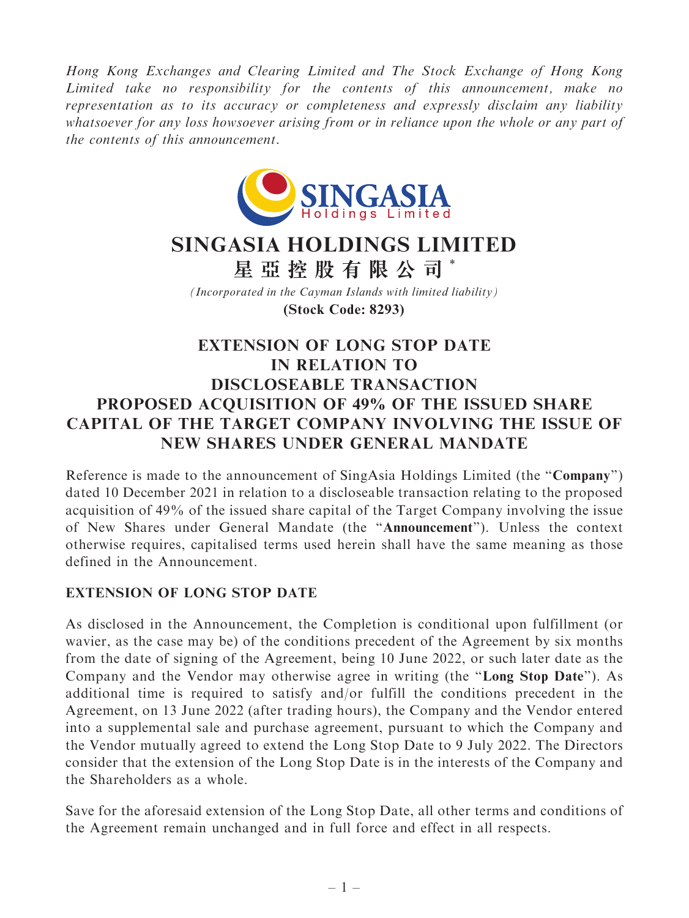Hong Kong Exchanges and Clearing Limited and The Stock Exchange of Hong Kong Limited take no responsibility for the contents of this announcement, make no representation as to its accuracy or completeness and expressly disclaim any liability whatsoever for any loss howsoever arising from or in reliance upon the whole or any part of the contents of this announcement.



## **SINGASIA HOLDINGS LIMITED**

**星亞控股有限公司** \*

*(Incorporated in the Cayman Islands with limited liability)* **(Stock Code: 8293)**

## EXTENSION OF LONG STOP DATE IN RELATION TO DISCLOSEABLE TRANSACTION PROPOSED ACQUISITION OF 49% OF THE ISSUED SHARE CAPITAL OF THE TARGET COMPANY INVOLVING THE ISSUE OF NEW SHARES UNDER GENERAL MANDATE

Reference is made to the announcement of SingAsia Holdings Limited (the ''Company'') dated 10 December 2021 in relation to a discloseable transaction relating to the proposed acquisition of 49% of the issued share capital of the Target Company involving the issue of New Shares under General Mandate (the ''Announcement''). Unless the context otherwise requires, capitalised terms used herein shall have the same meaning as those defined in the Announcement.

## EXTENSION OF LONG STOP DATE

As disclosed in the Announcement, the Completion is conditional upon fulfillment (or wavier, as the case may be) of the conditions precedent of the Agreement by six months from the date of signing of the Agreement, being 10 June 2022, or such later date as the Company and the Vendor may otherwise agree in writing (the ''Long Stop Date''). As additional time is required to satisfy and/or fulfill the conditions precedent in the Agreement, on 13 June 2022 (after trading hours), the Company and the Vendor entered into a supplemental sale and purchase agreement, pursuant to which the Company and the Vendor mutually agreed to extend the Long Stop Date to 9 July 2022. The Directors consider that the extension of the Long Stop Date is in the interests of the Company and the Shareholders as a whole.

Save for the aforesaid extension of the Long Stop Date, all other terms and conditions of the Agreement remain unchanged and in full force and effect in all respects.